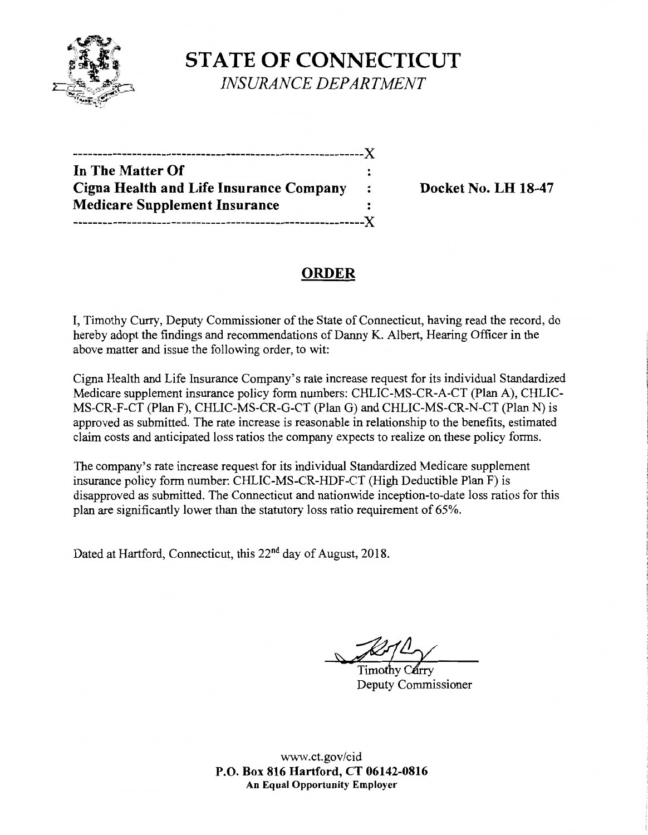

**STATE OF CONNECTICUT**  *INSURANCE DEPARTMENT* 

| In The Matter Of                        |                |
|-----------------------------------------|----------------|
| Cigna Health and Life Insurance Company | $\ddot{\cdot}$ |
| <b>Medicare Supplement Insurance</b>    |                |
|                                         |                |

**Docket No. LH 18-47** 

# **ORDER**

I, Timothy Curry, Deputy Commissioner of the State of Connecticut, having read the record, do hereby adopt the findings and recommendations of Danny K. Albert, Hearing Officer in the above matter and issue the following order, to wit:

Cigna Health and Life Insurance Company's rate increase request for its individual Standardized Medicare supplement insurance policy form numbers: CHUC-MS-CR-A-CT (Plan A), CHLIC-MS-CR-F-CT (Plan F), CHLIC-MS-CR-G-CT (Plan G) and CHLIC-MS-CR-N-CT (Plan N) is approved as submitted. The rate increase is reasonable in relationship to the benefits, estimated claim costs and anticipated loss ratios the company expects to realize on these policy forms.

The company's rate increase request for its individual Standardized Medicare supplement insurance policy form number: CHLIC-MS-CR-HDF-CT (High Deductible Plan F) is disapproved as submitted. The Connecticut and nationwide inception-to-date loss ratios for this plan are significantly lower than the statutory loss ratio requirement of 65%.

Dated at Hartford, Connecticut, this 22<sup>nd</sup> day of August, 2018.

Deputy Commissioner

www.ct.gov/cid **P.O. Box 816 Hartford, CT 06142-0816 An Equal Opportunity Employer**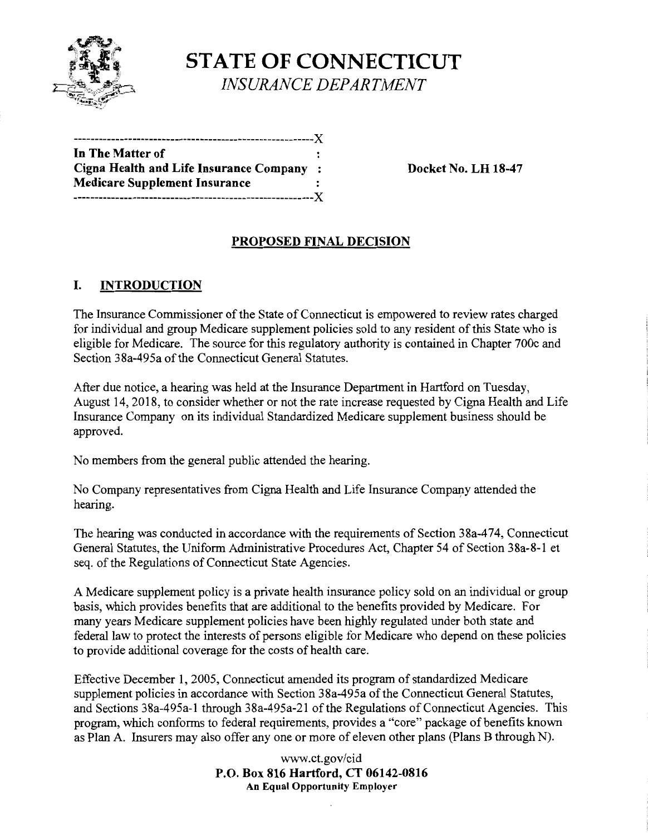

**STATE OF CONNECTICUT**  *INSURANCE DEPARTMENT* 

| In The Matter of                         |  |
|------------------------------------------|--|
| Cigna Health and Life Insurance Company: |  |
| <b>Medicare Supplement Insurance</b>     |  |
|                                          |  |

**Cigna Health and Life Insurance Company** : **Docket No. LH 18-47** 

### **PROPOSED FINAL DECISION**

### I. **INTRODUCTION**

The Insurance Commissioner of the State of Connecticut is empowered to review rates charged for individual and group Medicare supplement policies sold to any resident of this State who is eligible for Medicare. The source for this regulatory authority is contained in Chapter 700c and Section 38a-495a of the Connecticut General Statutes.

After due notice, a hearing was held at the Insurance Department in Hartford on Tuesday, August 14, 2018, to consider whether or not the rate increase requested by Cigna Health and Life Insurance Company on its individual Standardized Medicare supplement business should be approved.

No members from the general public attended the hearing.

No Company representatives from Cigna Health and Life Insurance Company attended the hearing.

The hearing was conducted in accordance with the requirements of Section 38a-474, Connecticut General Statutes, the Uniform Administrative Procedures Act, Chapter 54 of Section 38a-8-1 et seq. of the Regulations of Connecticut State Agencies.

A Medicare supplement policy is a private health insurance policy sold on an individual or group basis, which provides benefits that are additional to the benefits provided by Medicare. For many years Medicare supplement policies have been highly regulated under both state and federal law to protect the interests of persons eligible for Medicare who depend on these policies to provide additional coverage for the costs of health care.

Effective December 1, 2005, Connecticut amended its program of standardized Medicare supplement policies in accordance with Section 38a-495a of the Connecticut General Statutes, and Sections 38a-495a-1 through 38a-495a-21 of the Regulations of Connecticut Agencies. This program, which conforms to federal requirements, provides a "core" package of benefits known as Plan A. Insurers may also offer any one or more of eleven other plans (Plans B through N).

> www.ct.gov/cid **P.O. Box 816 Hartford, CT 06142-0816 An Equal Opportunity Employer**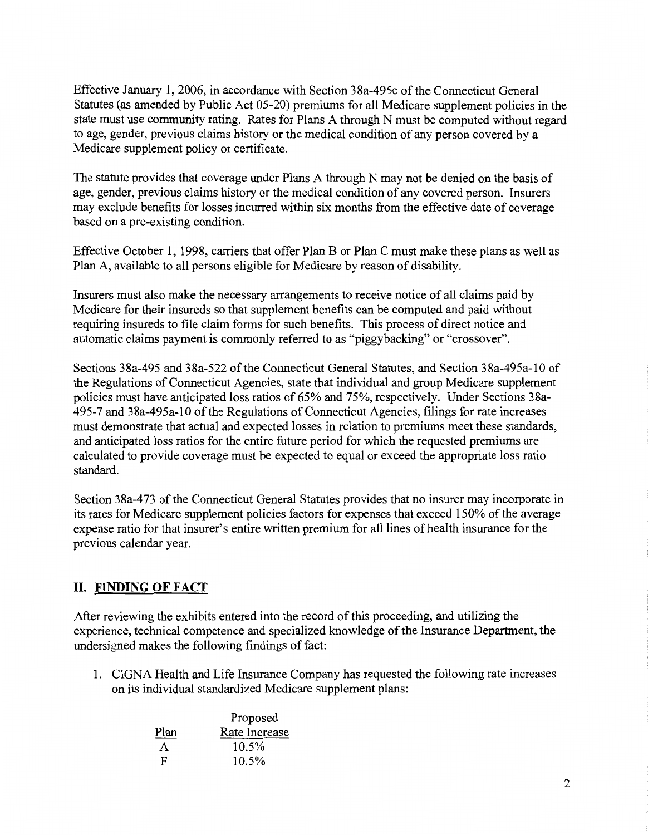Effective January 1, 2006, in accordance with Section 38a-495c of the Connecticut General Statutes (as amended by Public Act 05-20) premiums for all Medicare supplement policies in the state must use community rating. Rates for Plans A through N must be computed without regard to age, gender, previous claims history or the medical condition of any person covered by a Medicare supplement policy or certificate.

The statute provides that coverage under Plans A through N may not be denied on the basis of age, gender, previous claims history or the medical condition of any covered person. Insurers may exclude benefits for losses incurred within six months from the effective date of coverage based on a pre-existing condition.

Effective October 1, 1998, carriers that offer Plan B or Plan C must make these plans as well as Plan A, available to all persons eligible for Medicare by reason of disability.

Insurers must also make the necessary arrangements to receive notice of all claims paid by Medicare for their insureds so that supplement benefits can be computed and paid without requiring insureds to file claim forms for such benefits. This process of direct notice and automatic claims payment is commonly referred to as "piggybacking" or "crossover".

Sections 38a-495 and 38a-522 ofthe Connecticut General Statutes, and Section 38a-495a-10 of the Regulations of Connecticut Agencies, state that individual and group Medicare supplement policies must have anticipated loss ratios of 65% and 75%, respectively. Under Sections 38a-495-7 and 38a-495a-10 ofthe Regulations of Connecticut Agencies, filings for rate increases must demonstrate that actual and expected losses in relation to premiums meet these standards, and anticipated loss ratios for the entire future period for which the requested premiums are calculated to provide coverage must be expected to equal or exceed the appropriate loss ratio standard.

Section 38a-473 of the Connecticut General Statutes provides that no insurer may incorporate in its rates for Medicare supplement policies factors for expenses that exceed 150% of the average expense ratio for that insurer's entire written premium for all lines of health insurance for the previous calendar year.

## **II. FINDING OF FACT**

After reviewing the exhibits entered into the record of this proceeding, and utilizing the experience, technical competence and specialized knowledge of the Insurance Department, the undersigned makes the following findings of fact:

1. CIGNA Health and Life Insurance Company has requested the following rate increases on its individual standardized Medicare supplement plans:

|      | Proposed      |  |
|------|---------------|--|
| Plan | Rate Increase |  |
| A    | 10.5%         |  |
| F    | 10.5%         |  |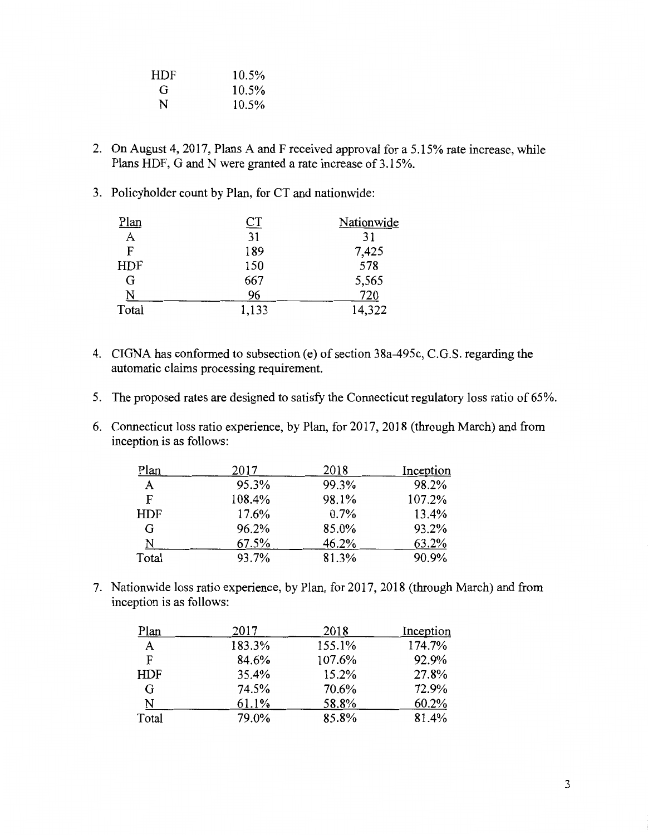| <b>HDF</b> | 10.5%    |
|------------|----------|
| G          | 10.5%    |
| N          | $10.5\%$ |

- 2. On August 4, 2017, Plans A and F received approval for a 5.15% rate increase, while Plans HDF, G and N were granted a rate increase of 3.15%.
- 3. Policyholder count by Plan, for CT and nationwide:

| Plan  | <u>CT</u> | Nationwide |
|-------|-----------|------------|
| A     | 31        | 31         |
| F     | 189       | 7,425      |
| HDF   | 150       | 578        |
| G     | 667       | 5,565      |
| N     | 96        | 720        |
| Total | 1,133     | 14,322     |

- 4. CIGNA has conformed to subsection (e) of section 38a-495c, C.G.S. regarding the automatic claims processing requirement.
- 5. The proposed rates are designed to satisfy the Connecticut regulatory loss ratio of 65%.
- 6. Connecticut loss ratio experience, by Plan, for 2017, 2018 (through March) and from inception is as follows:

| Plan       | 2017   | 2018  | Inception |
|------------|--------|-------|-----------|
| A          | 95.3%  | 99.3% | 98.2%     |
| F          | 108.4% | 98.1% | 107.2%    |
| <b>HDF</b> | 17.6%  | 0.7%  | 13.4%     |
| G          | 96.2%  | 85.0% | 93.2%     |
| N          | 67.5%  | 46.2% | 63.2%     |
| Total      | 93.7%  | 81.3% | 90.9%     |

7. Nationwide loss ratio experience, by Plan, for 2017, 2018 (through March) and from inception is as follows:

| Plan         | 2017   | 2018   | Inception |
|--------------|--------|--------|-----------|
| $\mathbf{A}$ | 183.3% | 155.1% | 174.7%    |
| F            | 84.6%  | 107.6% | 92.9%     |
| <b>HDF</b>   | 35.4%  | 15.2%  | 27.8%     |
| G            | 74.5%  | 70.6%  | 72.9%     |
| N            | 61.1%  | 58.8%  | 60.2%     |
| Total        | 79.0%  | 85.8%  | 81.4%     |